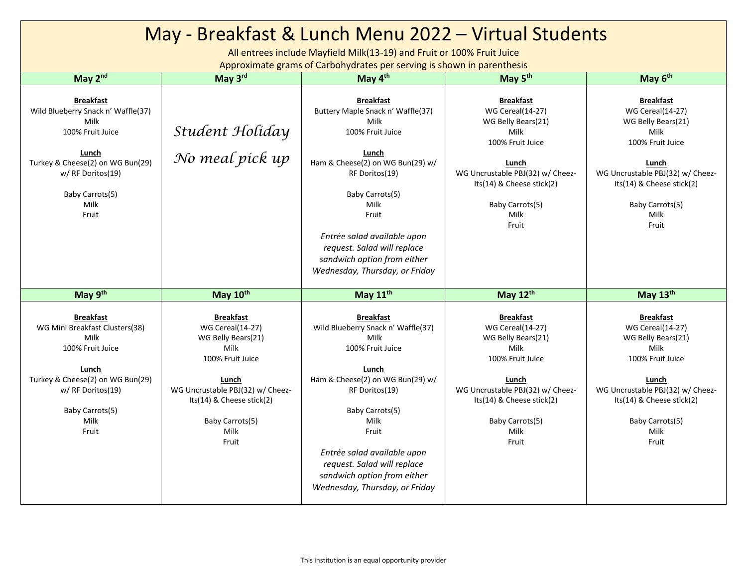| May - Breakfast & Lunch Menu 2022 - Virtual Students                                                                                                                                     |                                                                                                                                                                                                              |                                                                                                                                                                                                                                                                                                                      |                                                                                                                                                                                                             |                                                                                                                                                                                                             |  |  |  |
|------------------------------------------------------------------------------------------------------------------------------------------------------------------------------------------|--------------------------------------------------------------------------------------------------------------------------------------------------------------------------------------------------------------|----------------------------------------------------------------------------------------------------------------------------------------------------------------------------------------------------------------------------------------------------------------------------------------------------------------------|-------------------------------------------------------------------------------------------------------------------------------------------------------------------------------------------------------------|-------------------------------------------------------------------------------------------------------------------------------------------------------------------------------------------------------------|--|--|--|
| All entrees include Mayfield Milk(13-19) and Fruit or 100% Fruit Juice<br>Approximate grams of Carbohydrates per serving is shown in parenthesis                                         |                                                                                                                                                                                                              |                                                                                                                                                                                                                                                                                                                      |                                                                                                                                                                                                             |                                                                                                                                                                                                             |  |  |  |
| May 2nd                                                                                                                                                                                  | May 3rd                                                                                                                                                                                                      | May 4th                                                                                                                                                                                                                                                                                                              | May 5 <sup>th</sup>                                                                                                                                                                                         | May 6 <sup>th</sup>                                                                                                                                                                                         |  |  |  |
| <b>Breakfast</b><br>Wild Blueberry Snack n' Waffle(37)<br>Milk<br>100% Fruit Juice<br>Lunch<br>Turkey & Cheese(2) on WG Bun(29)<br>w/ RF Doritos(19)<br>Baby Carrots(5)<br>Milk<br>Fruit | Student Holiday<br>No meal pick up                                                                                                                                                                           | <b>Breakfast</b><br>Buttery Maple Snack n' Waffle(37)<br>Milk<br>100% Fruit Juice<br>Lunch<br>Ham & Cheese(2) on WG Bun(29) w/<br>RF Doritos(19)<br>Baby Carrots(5)<br>Milk<br>Fruit<br>Entrée salad available upon<br>request. Salad will replace<br>sandwich option from either<br>Wednesday, Thursday, or Friday  | <b>Breakfast</b><br><b>WG Cereal(14-27)</b><br>WG Belly Bears(21)<br>Milk<br>100% Fruit Juice<br>Lunch<br>WG Uncrustable PBJ(32) w/ Cheez-<br>Its(14) & Cheese stick(2)<br>Baby Carrots(5)<br>Milk<br>Fruit | <b>Breakfast</b><br><b>WG Cereal(14-27)</b><br>WG Belly Bears(21)<br>Milk<br>100% Fruit Juice<br>Lunch<br>WG Uncrustable PBJ(32) w/ Cheez-<br>Its(14) & Cheese stick(2)<br>Baby Carrots(5)<br>Milk<br>Fruit |  |  |  |
| May 9th                                                                                                                                                                                  | May 10th                                                                                                                                                                                                     | May 11 <sup>th</sup>                                                                                                                                                                                                                                                                                                 | May 12th                                                                                                                                                                                                    | May 13th                                                                                                                                                                                                    |  |  |  |
| <b>Breakfast</b><br>WG Mini Breakfast Clusters(38)<br>Milk<br>100% Fruit Juice<br>Lunch<br>Turkey & Cheese(2) on WG Bun(29)<br>w/ RF Doritos(19)<br>Baby Carrots(5)<br>Milk<br>Fruit     | <b>Breakfast</b><br><b>WG Cereal</b> (14-27)<br>WG Belly Bears(21)<br>Milk<br>100% Fruit Juice<br>Lunch<br>WG Uncrustable PBJ(32) w/ Cheez-<br>Its(14) & Cheese stick(2)<br>Baby Carrots(5)<br>Milk<br>Fruit | <b>Breakfast</b><br>Wild Blueberry Snack n' Waffle(37)<br>Milk<br>100% Fruit Juice<br>Lunch<br>Ham & Cheese(2) on WG Bun(29) w/<br>RF Doritos(19)<br>Baby Carrots(5)<br>Milk<br>Fruit<br>Entrée salad available upon<br>request. Salad will replace<br>sandwich option from either<br>Wednesday, Thursday, or Friday | <b>Breakfast</b><br><b>WG Cereal(14-27)</b><br>WG Belly Bears(21)<br>Milk<br>100% Fruit Juice<br>Lunch<br>WG Uncrustable PBJ(32) w/ Cheez-<br>Its(14) & Cheese stick(2)<br>Baby Carrots(5)<br>Milk<br>Fruit | <b>Breakfast</b><br><b>WG Cereal(14-27)</b><br>WG Belly Bears(21)<br>Milk<br>100% Fruit Juice<br>Lunch<br>WG Uncrustable PBJ(32) w/ Cheez-<br>Its(14) & Cheese stick(2)<br>Baby Carrots(5)<br>Milk<br>Fruit |  |  |  |